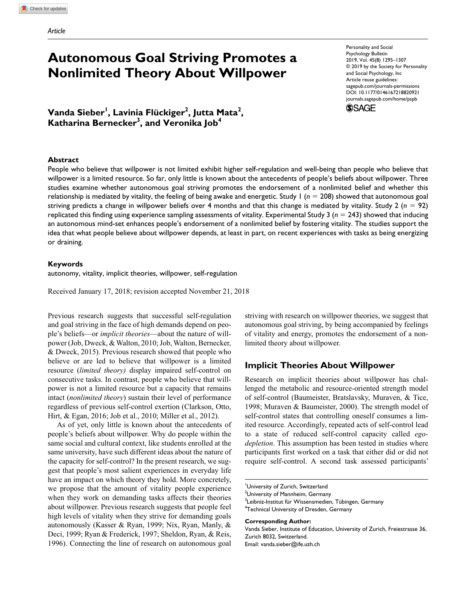*Article*

# **Autonomous Goal Striving Promotes a Nonlimited Theory About Willpower**

 $\mathsf{V}$ anda Sieber<sup>ı</sup>, Lavinia Flückiger<sup>2</sup>, Jutta Mata<sup>2</sup>, **Katharina Bernecker3 , and Veronika Job4**

#### **Abstract**

https://doi.org/10.1177/0146167218820921 DOI: 10.1177/0146167218820921 Personality and Social Psychology Bulletin 2019, Vol. 45(8) 1295–1307 © 2019 by the Society for Personality and Social Psychology, Inc Article reuse guidelines: [sagepub.com/journals-permissions](https://us.sagepub.com/en-us/journals-permissions) [journals.sagepub.com/home/pspb](http://journals.sagepub.com/home/pspb)



People who believe that willpower is not limited exhibit higher self-regulation and well-being than people who believe that willpower is a limited resource. So far, only little is known about the antecedents of people's beliefs about willpower. Three studies examine whether autonomous goal striving promotes the endorsement of a nonlimited belief and whether this relationship is mediated by vitality, the feeling of being awake and energetic. Study 1 (*n* = 208) showed that autonomous goal striving predicts a change in willpower beliefs over 4 months and that this change is mediated by vitality. Study 2 (*n* = 92) replicated this finding using experience sampling assessments of vitality. Experimental Study 3 (*n* = 243) showed that inducing an autonomous mind-set enhances people's endorsement of a nonlimited belief by fostering vitality. The studies support the idea that what people believe about willpower depends, at least in part, on recent experiences with tasks as being energizing or draining.

#### **Keywords**

autonomy, vitality, implicit theories, willpower, self-regulation

Received January 17, 2018; revision accepted November 21, 2018

Previous research suggests that successful self-regulation and goal striving in the face of high demands depend on people's beliefs—or *implicit theories*—about the nature of willpower (Job, Dweck, & Walton, 2010; Job, Walton, Bernecker, & Dweck, 2015). Previous research showed that people who believe or are led to believe that willpower is a limited resource (*limited theory)* display impaired self-control on consecutive tasks. In contrast, people who believe that willpower is not a limited resource but a capacity that remains intact (*nonlimited theory*) sustain their level of performance regardless of previous self-control exertion (Clarkson, Otto, Hirt, & Egan, 2016; Job et al., 2010; Miller et al., 2012).

As of yet, only little is known about the antecedents of people's beliefs about willpower. Why do people within the same social and cultural context, like students enrolled at the same university, have such different ideas about the nature of the capacity for self-control? In the present research, we suggest that people's most salient experiences in everyday life have an impact on which theory they hold. More concretely, we propose that the amount of vitality people experience when they work on demanding tasks affects their theories about willpower. Previous research suggests that people feel high levels of vitality when they strive for demanding goals autonomously (Kasser & Ryan, 1999; Nix, Ryan, Manly, & Deci, 1999; Ryan & Frederick, 1997; Sheldon, Ryan, & Reis, 1996). Connecting the line of research on autonomous goal

striving with research on willpower theories, we suggest that autonomous goal striving, by being accompanied by feelings of vitality and energy, promotes the endorsement of a nonlimited theory about willpower.

## **Implicit Theories About Willpower**

Research on implicit theories about willpower has challenged the metabolic and resource-oriented strength model of self-control (Baumeister, Bratslavsky, Muraven, & Tice, 1998; Muraven & Baumeister, 2000). The strength model of self-control states that controlling oneself consumes a limited resource. Accordingly, repeated acts of self-control lead to a state of reduced self-control capacity called *egodepletion*. This assumption has been tested in studies where participants first worked on a task that either did or did not require self-control. A second task assessed participants'

#### **Corresponding Author:**

Vanda Sieber, Institute of Education, University of Zurich, Freiestrasse 36, Zurich 8032, Switzerland. Email: [vanda.sieber@ife.uzh.ch](mailto:vanda.sieber@ife.uzh.ch)

University of Zurich, Switzerland

 $^2$ University of Mannheim, Germany

 $^3$ Leibniz-Institut für Wissensmedien, Tübingen, Germany

<sup>4</sup> Technical University of Dresden, Germany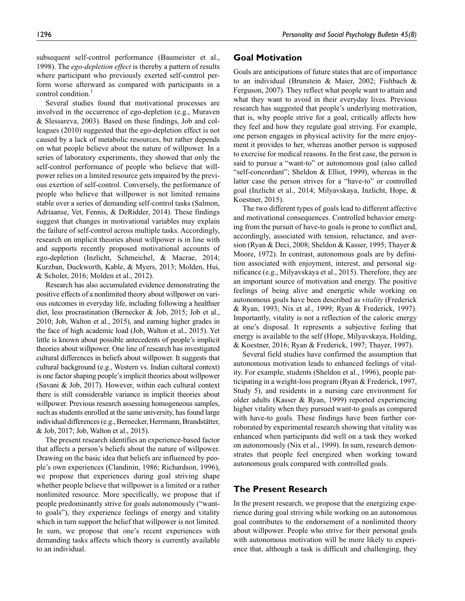subsequent self-control performance (Baumeister et al., 1998). The *ego-depletion effect* is thereby a pattern of results where participant who previously exerted self-control perform worse afterward as compared with participants in a control condition.<sup>1</sup>

Several studies found that motivational processes are involved in the occurrence of ego-depletion (e.g., Muraven & Slessareva, 2003). Based on these findings, Job and colleagues (2010) suggested that the ego-depletion effect is not caused by a lack of metabolic resources, but rather depends on what people believe about the nature of willpower. In a series of laboratory experiments, they showed that only the self-control performance of people who believe that willpower relies on a limited resource gets impaired by the previous exertion of self-control. Conversely, the performance of people who believe that willpower is not limited remains stable over a series of demanding self-control tasks (Salmon, Adriaanse, Vet, Fennis, & DeRidder, 2014). These findings suggest that changes in motivational variables may explain the failure of self-control across multiple tasks. Accordingly, research on implicit theories about willpower is in line with and supports recently proposed motivational accounts of ego-depletion (Inzlicht, Schmeichel, & Macrae, 2014; Kurzban, Duckworth, Kable, & Myers, 2013; Molden, Hui, & Scholer, 2016; Molden et al., 2012).

Research has also accumulated evidence demonstrating the positive effects of a nonlimited theory about willpower on various outcomes in everyday life, including following a healthier diet, less procrastination (Bernecker & Job, 2015; Job et al., 2010; Job, Walton et al., 2015), and earning higher grades in the face of high academic load (Job, Walton et al., 2015). Yet little is known about possible antecedents of people's implicit theories about willpower. One line of research has investigated cultural differences in beliefs about willpower. It suggests that cultural background (e.g., Western vs. Indian cultural context) is one factor shaping people's implicit theories about willpower (Savani & Job, 2017). However, within each cultural context there is still considerable variance in implicit theories about willpower. Previous research assessing homogeneous samples, such as students enrolled at the same university, has found large individual differences (e.g., Bernecker, Herrmann, Brandstätter, & Job, 2017; Job, Walton et al., 2015).

The present research identifies an experience-based factor that affects a person's beliefs about the nature of willpower. Drawing on the basic idea that beliefs are influenced by people's own experiences (Clandinin, 1986; Richardson, 1996), we propose that experiences during goal striving shape whether people believe that willpower is a limited or a rather nonlimited resource. More specifically, we propose that if people predominantly strive for goals autonomously ("wantto goals"), they experience feelings of energy and vitality which in turn support the belief that willpower is not limited. In sum, we propose that one's recent experiences with demanding tasks affects which theory is currently available to an individual.

## **Goal Motivation**

Goals are anticipations of future states that are of importance to an individual (Brunstein & Maier, 2002; Fishbach & Ferguson, 2007). They reflect what people want to attain and what they want to avoid in their everyday lives. Previous research has suggested that people's underlying motivation, that is, why people strive for a goal, critically affects how they feel and how they regulate goal striving. For example, one person engages in physical activity for the mere enjoyment it provides to her, whereas another person is supposed to exercise for medical reasons. In the first case, the person is said to pursue a "want-to" or autonomous goal (also called "self-concordant"; Sheldon & Elliot, 1999), whereas in the latter case the person strives for a "have-to" or controlled goal (Inzlicht et al., 2014; Milyavskaya, Inzlicht, Hope, & Koestner, 2015).

The two different types of goals lead to different affective and motivational consequences. Controlled behavior emerging from the pursuit of have-to goals is prone to conflict and, accordingly, associated with tension, reluctance, and aversion (Ryan & Deci, 2008; Sheldon & Kasser, 1995; Thayer & Moore, 1972). In contrast, autonomous goals are by definition associated with enjoyment, interest, and personal significance (e.g., Milyavskaya et al., 2015). Therefore, they are an important source of motivation and energy. The positive feelings of being alive and energetic while working on autonomous goals have been described as *vitality* (Frederick & Ryan, 1993; Nix et al., 1999; Ryan & Frederick, 1997). Importantly, vitality is not a reflection of the caloric energy at one's disposal. It represents a subjective feeling that energy is available to the self (Hope, Milyavskaya, Holding, & Koestner, 2016; Ryan & Frederick, 1997; Thayer, 1997).

Several field studies have confirmed the assumption that autonomous motivation leads to enhanced feelings of vitality. For example, students (Sheldon et al., 1996), people participating in a weight-loss program (Ryan & Frederick, 1997, Study 5), and residents in a nursing care environment for older adults (Kasser & Ryan, 1999) reported experiencing higher vitality when they pursued want-to goals as compared with have-to goals. These findings have been further corroborated by experimental research showing that vitality was enhanced when participants did well on a task they worked on autonomously (Nix et al., 1999). In sum, research demonstrates that people feel energized when working toward autonomous goals compared with controlled goals.

## **The Present Research**

In the present research, we propose that the energizing experience during goal striving while working on an autonomous goal contributes to the endorsement of a nonlimited theory about willpower. People who strive for their personal goals with autonomous motivation will be more likely to experience that, although a task is difficult and challenging, they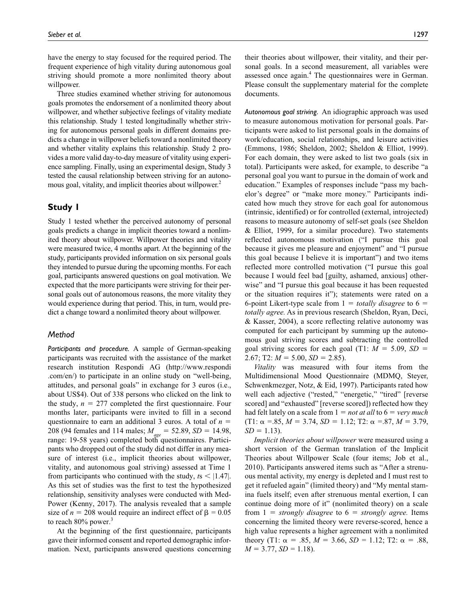have the energy to stay focused for the required period. The frequent experience of high vitality during autonomous goal striving should promote a more nonlimited theory about willpower.

Three studies examined whether striving for autonomous goals promotes the endorsement of a nonlimited theory about willpower, and whether subjective feelings of vitality mediate this relationship. Study 1 tested longitudinally whether striving for autonomous personal goals in different domains predicts a change in willpower beliefs toward a nonlimited theory and whether vitality explains this relationship. Study 2 provides a more valid day-to-day measure of vitality using experience sampling. Finally, using an experimental design, Study 3 tested the causal relationship between striving for an autonomous goal, vitality, and implicit theories about willpower.<sup>2</sup>

## **Study 1**

Study 1 tested whether the perceived autonomy of personal goals predicts a change in implicit theories toward a nonlimited theory about willpower. Willpower theories and vitality were measured twice, 4 months apart. At the beginning of the study, participants provided information on six personal goals they intended to pursue during the upcoming months. For each goal, participants answered questions on goal motivation. We expected that the more participants were striving for their personal goals out of autonomous reasons, the more vitality they would experience during that period. This, in turn, would predict a change toward a nonlimited theory about willpower.

## *Method*

*Participants and procedure.* A sample of German-speaking participants was recruited with the assistance of the market research institution Respondi AG ([http://www.respondi](http://www.respondi.com/en/) [.com/en/\)](http://www.respondi.com/en/) to participate in an online study on "well-being, attitudes, and personal goals" in exchange for 3 euros (i.e., about US\$4). Out of 338 persons who clicked on the link to the study,  $n = 277$  completed the first questionnaire. Four months later, participants were invited to fill in a second questionnaire to earn an additional 3 euros. A total of  $n =$ 208 (94 females and 114 males;  $M_{qge} = 52.89$ ,  $SD = 14.98$ , range: 19-58 years) completed both questionnaires. Participants who dropped out of the study did not differ in any measure of interest (i.e., implicit theories about willpower, vitality, and autonomous goal striving) assessed at Time 1 from participants who continued with the study,  $t_s < |1.47|$ . As this set of studies was the first to test the hypothesized relationship, sensitivity analyses were conducted with Med-Power (Kenny, 2017). The analysis revealed that a sample size of  $n = 208$  would require an indirect effect of  $\beta = 0.05$ to reach  $80\%$  power.<sup>3</sup>

At the beginning of the first questionnaire, participants gave their informed consent and reported demographic information. Next, participants answered questions concerning their theories about willpower, their vitality, and their personal goals. In a second measurement, all variables were assessed once again.<sup>4</sup> The questionnaires were in German. Please consult the supplementary material for the complete documents.

*Autonomous goal striving.* An idiographic approach was used to measure autonomous motivation for personal goals. Participants were asked to list personal goals in the domains of work/education, social relationships, and leisure activities (Emmons, 1986; Sheldon, 2002; Sheldon & Elliot, 1999). For each domain, they were asked to list two goals (six in total). Participants were asked, for example, to describe "a personal goal you want to pursue in the domain of work and education." Examples of responses include "pass my bachelor's degree" or "make more money." Participants indicated how much they strove for each goal for autonomous (intrinsic, identified) or for controlled (external, introjected) reasons to measure autonomy of self-set goals (see Sheldon & Elliot, 1999, for a similar procedure). Two statements reflected autonomous motivation ("I pursue this goal because it gives me pleasure and enjoyment" and "I pursue this goal because I believe it is important") and two items reflected more controlled motivation ("I pursue this goal because I would feel bad [guilty, ashamed, anxious] otherwise" and "I pursue this goal because it has been requested or the situation requires it"); statements were rated on a 6-point Likert-type scale from  $1 =$  *totally disagree* to  $6 =$ *totally agree.* As in previous research (Sheldon, Ryan, Deci, & Kasser, 2004), a score reflecting relative autonomy was computed for each participant by summing up the autonomous goal striving scores and subtracting the controlled goal striving scores for each goal (T1:  $M = 5.09$ ,  $SD =$ 2.67; T2:  $M = 5.00$ ,  $SD = 2.85$ ).

*Vitality* was measured with four items from the Multidimensional Mood Questionnaire (MDMQ, Steyer, Schwenkmezger, Notz, & Eid, 1997). Participants rated how well each adjective ("rested," "energetic," "tired" [reverse scored] and "exhausted" [reverse scored]) reflected how they had felt lately on a scale from 1 = *not at all* to 6 = *very much* (T1:  $\alpha$  = .85,  $M = 3.74$ ,  $SD = 1.12$ ; T2:  $\alpha$  = .87,  $M = 3.79$ ,  $SD = 1.13$ ).

*Implicit theories about willpower* were measured using a short version of the German translation of the Implicit Theories about Willpower Scale (four items; Job et al., 2010). Participants answered items such as "After a strenuous mental activity, my energy is depleted and I must rest to get it refueled again" (limited theory) and "My mental stamina fuels itself; even after strenuous mental exertion, I can continue doing more of it" (nonlimited theory) on a scale from 1 = *strongly disagree* to 6 = *strongly agree.* Items concerning the limited theory were reverse-scored, hence a high value represents a higher agreement with a nonlimited theory (T1:  $\alpha = .85$ ,  $M = 3.66$ ,  $SD = 1.12$ ; T2:  $\alpha = .88$ ,  $M = 3.77$ ,  $SD = 1.18$ ).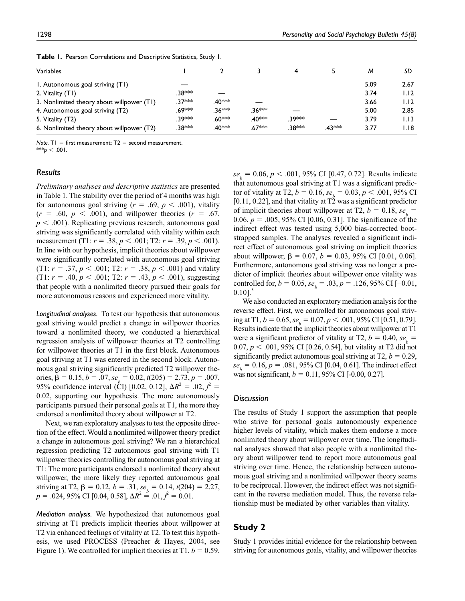|        |                    |                    |        |         | м    | SD   |
|--------|--------------------|--------------------|--------|---------|------|------|
|        |                    |                    |        |         | 5.09 | 2.67 |
| .38*** |                    |                    |        |         | 3.74 | 1.12 |
| .37*** | .40***             |                    |        |         | 3.66 | 1.12 |
| .69*** | .36***             | .36***             |        |         | 5.00 | 2.85 |
| .39*** | $.60***$           | .40 <sup>***</sup> | .39*** |         | 3.79 | 1.13 |
| .38*** | .40 <sup>***</sup> | .67***             | .38*** | .43 *** | 3.77 | 1.18 |
|        |                    |                    |        |         |      |      |

**Table 1.** Pearson Correlations and Descriptive Statistics, Study 1.

*Note.* T1 = first measurement; T2 = second measurement. \*\*\* $p < .001$ .

## *Results*

*Preliminary analyses and descriptive statistics* are presented in Table 1. The stability over the period of 4 months was high for autonomous goal striving  $(r = .69, p < .001)$ , vitality  $(r = .60, p < .001)$ , and willpower theories  $(r = .67,$  $p < .001$ ). Replicating previous research, autonomous goal striving was significantly correlated with vitality within each measurement (T1: *r* = .38, *p* < .001; T2: *r* = .39, *p* < .001). In line with our hypothesis, implicit theories about willpower were significantly correlated with autonomous goal striving (T1:  $r = .37, p < .001$ ; T2:  $r = .38, p < .001$ ) and vitality (T1:  $r = .40, p < .001$ ; T2:  $r = .43, p < .001$ ), suggesting that people with a nonlimited theory pursued their goals for more autonomous reasons and experienced more vitality.

*Longitudinal analyses.* To test our hypothesis that autonomous goal striving would predict a change in willpower theories toward a nonlimited theory, we conducted a hierarchical regression analysis of willpower theories at T2 controlling for willpower theories at T1 in the first block. Autonomous goal striving at T1 was entered in the second block. Autonomous goal striving significantly predicted T2 willpower theories,  $\beta = 0.15$ ,  $b = .07$ ,  $se<sub>i</sub> = 0.02$ ,  $t(205) = 2.73$ ,  $p = .007$ , 95% confidence interval (CI) [0.02, 0.12],  $\Delta R^2 = 0.02$ ,  $\hat{f} =$ 0.02, supporting our hypothesis. The more autonomously participants pursued their personal goals at T1, the more they endorsed a nonlimited theory about willpower at T2.

Next, we ran exploratory analyses to test the opposite direction of the effect. Would a nonlimited willpower theory predict a change in autonomous goal striving? We ran a hierarchical regression predicting T2 autonomous goal striving with T1 willpower theories controlling for autonomous goal striving at T1: The more participants endorsed a nonlimited theory about willpower, the more likely they reported autonomous goal striving at T2,  $\beta = 0.12$ ,  $b = .31$ ,  $se<sub>b</sub> = 0.14$ ,  $t(204) = 2.27$ ,  $p = .024,95\%$  CI [0.04, 0.58],  $\Delta R^2 = .01, f^2 = 0.01$ .

*Mediation analysis.* We hypothesized that autonomous goal striving at T1 predicts implicit theories about willpower at T2 via enhanced feelings of vitality at T2. To test this hypothesis, we used PROCESS (Preacher & Hayes, 2004, see Figure 1). We controlled for implicit theories at  $T1, b = 0.59$ ,

 $se<sub>b</sub> = 0.06, p < .001, 95\%$  CI [0.47, 0.72]. Results indicate that autonomous goal striving at T1 was a significant predictor of vitality at T2,  $b = 0.16$ ,  $se<sub>i</sub> = 0.03$ ,  $p < .001$ , 95% CI  $[0.11, 0.22]$ , and that vitality at  $T\tilde{2}$  was a significant predictor of implicit theories about willpower at T2,  $b = 0.18$ ,  $se<sub>k</sub> =$ 0.06, *p* = .005, 95% CI [0.06, 0.31]. The significance of the indirect effect was tested using 5,000 bias-corrected bootstrapped samples. The analyses revealed a significant indirect effect of autonomous goal striving on implicit theories about willpower,  $\beta = 0.07$ ,  $b = 0.03$ , 95% CI [0.01, 0.06]. Furthermore, autonomous goal striving was no longer a predictor of implicit theories about willpower once vitality was controlled for,  $b = 0.05$ ,  $se<sub>b</sub> = .03$ ,  $p = .126$ , 95% CI [-0.01,  $0.10$ <sup>3</sup>

We also conducted an exploratory mediation analysis for the reverse effect. First, we controlled for autonomous goal striving at T1,  $b = 0.65$ ,  $se<sub>b</sub> = 0.07$ ,  $p < .001$ , 95% CI [0.51, 0.79]. Results indicate that the implicit theories about willpower at T1 were a significant predictor of vitality at T2,  $b = 0.40$ ,  $se<sub>k</sub> =$ 0.07, *p* < .001, 95% CI [0.26, 0.54], but vitality at T2 did not significantly predict autonomous goal striving at T2,  $b = 0.29$ ,  $se<sub>b</sub> = 0.16, p = .081, 95\%$  CI [0.04, 0.61]. The indirect effect was not significant,  $b = 0.11$ , 95% CI [-0.00, 0.27].

## *Discussion*

The results of Study 1 support the assumption that people who strive for personal goals autonomously experience higher levels of vitality, which makes them endorse a more nonlimited theory about willpower over time. The longitudinal analyses showed that also people with a nonlimited theory about willpower tend to report more autonomous goal striving over time. Hence, the relationship between autonomous goal striving and a nonlimited willpower theory seems to be reciprocal. However, the indirect effect was not significant in the reverse mediation model. Thus, the reverse relationship must be mediated by other variables than vitality.

## **Study 2**

Study 1 provides initial evidence for the relationship between striving for autonomous goals, vitality, and willpower theories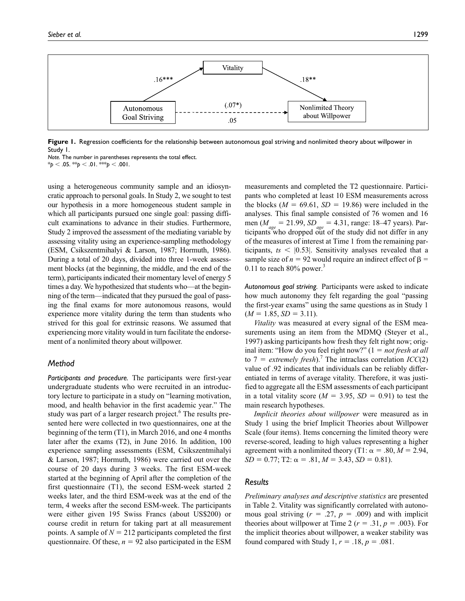

Figure 1. Regression coefficients for the relationship between autonomous goal striving and nonlimited theory about willpower in Study 1.

*Note.* The number in parentheses represents the total effect. \**p* < .05. \*\**p* < .01. \*\*\**p* < .001.

using a heterogeneous community sample and an idiosyncratic approach to personal goals. In Study 2, we sought to test our hypothesis in a more homogeneous student sample in which all participants pursued one single goal: passing difficult examinations to advance in their studies. Furthermore, Study 2 improved the assessment of the mediating variable by assessing vitality using an experience-sampling methodology (ESM, Csikszentmihalyi & Larson, 1987; Hormuth, 1986). During a total of 20 days, divided into three 1-week assessment blocks (at the beginning, the middle, and the end of the term), participants indicated their momentary level of energy 5 times a day. We hypothesized that students who—at the beginning of the term—indicated that they pursued the goal of passing the final exams for more autonomous reasons, would experience more vitality during the term than students who strived for this goal for extrinsic reasons. We assumed that experiencing more vitality would in turn facilitate the endorsement of a nonlimited theory about willpower.

#### *Method*

*Participants and procedure.* The participants were first-year undergraduate students who were recruited in an introductory lecture to participate in a study on "learning motivation, mood, and health behavior in the first academic year." The study was part of a larger research project.<sup>6</sup> The results presented here were collected in two questionnaires, one at the beginning of the term (T1), in March 2016, and one 4 months later after the exams (T2), in June 2016. In addition, 100 experience sampling assessments (ESM, Csikszentmihalyi & Larson, 1987; Hormuth, 1986) were carried out over the course of 20 days during 3 weeks. The first ESM-week started at the beginning of April after the completion of the first questionnaire (T1), the second ESM-week started 2 weeks later, and the third ESM-week was at the end of the term, 4 weeks after the second ESM-week. The participants were either given 195 Swiss Francs (about US\$200) or course credit in return for taking part at all measurement points. A sample of  $N = 212$  participants completed the first questionnaire. Of these,  $n = 92$  also participated in the ESM

measurements and completed the T2 questionnaire. Participants who completed at least 10 ESM measurements across the blocks ( $M = 69.61$ ,  $SD = 19.86$ ) were included in the analyses. This final sample consisted of 76 women and 16 men (*Mage* = 21.99, *SDage* = 4.31, range: 18–47 years). Participants who dropped out of the study did not differ in any of the measures of interest at Time 1 from the remaining participants,  $ts <$   $|0.53|$ . Sensitivity analyses revealed that a sample size of  $n = 92$  would require an indirect effect of  $\beta =$ 0.11 to reach 80% power.<sup>3</sup>

*Autonomous goal striving.* Participants were asked to indicate how much autonomy they felt regarding the goal "passing the first-year exams" using the same questions as in Study 1  $(M = 1.85, SD = 3.11).$ 

*Vitality* was measured at every signal of the ESM measurements using an item from the MDMQ (Steyer et al., 1997) asking participants how fresh they felt right now; original item: "How do you feel right now?" (1 = *not fresh at all* to  $7 =$  *extremely fresh*).<sup>7</sup> The intraclass correlation *ICC*(2) value of .92 indicates that individuals can be reliably differentiated in terms of average vitality. Therefore, it was justified to aggregate all the ESM assessments of each participant in a total vitality score ( $M = 3.95$ ,  $SD = 0.91$ ) to test the main research hypotheses.

*Implicit theories about willpower* were measured as in Study 1 using the brief Implicit Theories about Willpower Scale (four items). Items concerning the limited theory were reverse-scored, leading to high values representing a higher agreement with a nonlimited theory (T1:  $\alpha = .80$ ,  $M = 2.94$ ,  $SD = 0.77$ ; T2:  $\alpha = .81$ ,  $M = 3.43$ ,  $SD = 0.81$ ).

### *Results*

*Preliminary analyses and descriptive statistics* are presented in Table 2. Vitality was significantly correlated with autonomous goal striving  $(r = .27, p = .009)$  and with implicit theories about willpower at Time 2 ( $r = .31$ ,  $p = .003$ ). For the implicit theories about willpower, a weaker stability was found compared with Study 1,  $r = .18$ ,  $p = .081$ .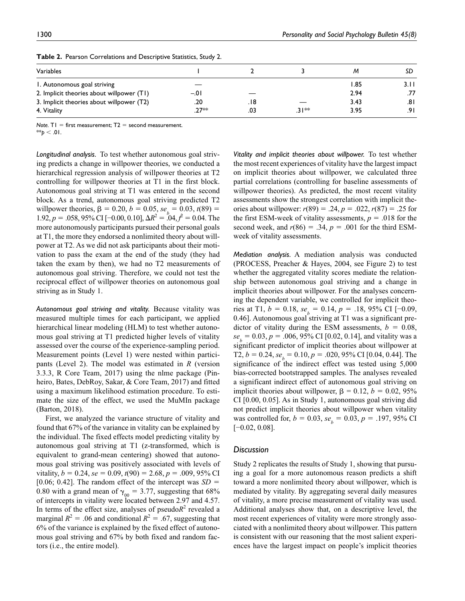| Variables                                 |        |     |         |      | SD     |
|-------------------------------------------|--------|-----|---------|------|--------|
| I. Autonomous goal striving               |        |     |         | 1.85 | 3. I I |
| 2. Implicit theories about willpower (T1) | $-.01$ |     |         | 2.94 | .77    |
| 3. Implicit theories about willpower (T2) | .20    | 18. |         | 3.43 | .8۱    |
| 4. Vitality                               | .27**  | .03 | $.31**$ | 3.95 | .9۱    |

**Table 2.** Pearson Correlations and Descriptive Statistics, Study 2.

*Note.*  $TI =$  first measurement;  $T2 =$  second measurement.

*Longitudinal analysis.* To test whether autonomous goal striving predicts a change in willpower theories, we conducted a hierarchical regression analysis of willpower theories at T2 controlling for willpower theories at T1 in the first block. Autonomous goal striving at T1 was entered in the second block. As a trend, autonomous goal striving predicted T2 willpower theories,  $\beta = 0.20$ ,  $b = 0.05$ ,  $se<sub>b</sub> = 0.03$ ,  $t(89) =$ 1.92, *p* = .058, 95% CI [−0.00, 0.10],  $\Delta R^2 = 0.04$ ,  $\hat{f} = 0.04$ . The more autonomously participants pursued their personal goals at T1, the more they endorsed a nonlimited theory about willpower at T2. As we did not ask participants about their motivation to pass the exam at the end of the study (they had taken the exam by then), we had no T2 measurements of autonomous goal striving. Therefore, we could not test the reciprocal effect of willpower theories on autonomous goal striving as in Study 1.

*Autonomous goal striving and vitality.* Because vitality was measured multiple times for each participant, we applied hierarchical linear modeling (HLM) to test whether autonomous goal striving at T1 predicted higher levels of vitality assessed over the course of the experience-sampling period. Measurement points (Level 1) were nested within participants (Level 2). The model was estimated in *R* (version 3.3.3, R Core Team, 2017) using the nlme package (Pinheiro, Bates, DebRoy, Sakar, & Core Team, 2017) and fitted using a maximum likelihood estimation procedure. To estimate the size of the effect, we used the MuMIn package (Barton, 2018).

First, we analyzed the variance structure of vitality and found that 67% of the variance in vitality can be explained by the individual. The fixed effects model predicting vitality by autonomous goal striving at T1 (z-transformed, which is equivalent to grand-mean centering) showed that autonomous goal striving was positively associated with levels of vitality,  $b = 0.24$ ,  $se = 0.09$ ,  $t(90) = 2.68$ ,  $p = .009$ , 95% CI  $[0.06; 0.42]$ . The random effect of the intercept was  $SD =$ 0.80 with a grand mean of  $\gamma_{00} = 3.77$ , suggesting that 68% of intercepts in vitality were located between 2.97 and 4.57. In terms of the effect size, analyses of pseudo $R^2$  revealed a marginal  $R^2 = 0.06$  and conditional  $R^2 = 0.67$ , suggesting that 6% of the variance is explained by the fixed effect of autonomous goal striving and 67% by both fixed and random factors (i.e., the entire model).

*Vitality and implicit theories about willpower.* To test whether the most recent experiences of vitality have the largest impact on implicit theories about willpower, we calculated three partial correlations (controlling for baseline assessments of willpower theories). As predicted, the most recent vitality assessments show the strongest correlation with implicit theories about willpower:  $r(89) = .24$ ,  $p = .022$ ,  $r(87) = .25$  for the first ESM-week of vitality assessments,  $p = .018$  for the second week, and  $r(86) = .34$ ,  $p = .001$  for the third ESMweek of vitality assessments.

*Mediation analysis.* A mediation analysis was conducted (PROCESS, Preacher & Hayes, 2004, see Figure 2) to test whether the aggregated vitality scores mediate the relationship between autonomous goal striving and a change in implicit theories about willpower. For the analyses concerning the dependent variable, we controlled for implicit theories at T1,  $b = 0.18$ ,  $se<sub>b</sub> = 0.14$ ,  $p = .18$ , 95% CI [-0.09, 0.46]. Autonomous goal striving at T1 was a significant predictor of vitality during the ESM assessments,  $b = 0.08$ ,  $se<sub>b</sub> = 0.03, p = .006, 95\% \text{ CI}$  [0.02, 0.14], and vitality was a significant predictor of implicit theories about willpower at T2,  $b = 0.24$ ,  $se<sub>b</sub> = 0.10$ ,  $p = .020$ , 95% CI [0.04, 0.44]. The significance of the indirect effect was tested using 5,000 bias-corrected bootstrapped samples. The analyses revealed a significant indirect effect of autonomous goal striving on implicit theories about willpower,  $\beta = 0.12$ ,  $b = 0.02$ , 95% CI [0.00, 0.05]. As in Study 1, autonomous goal striving did not predict implicit theories about willpower when vitality was controlled for,  $b = 0.03$ ,  $se<sub>b</sub> = 0.03$ ,  $p = .197, 95\%$  CI  $[-0.02, 0.08]$ .

#### *Discussion*

Study 2 replicates the results of Study 1, showing that pursuing a goal for a more autonomous reason predicts a shift toward a more nonlimited theory about willpower, which is mediated by vitality. By aggregating several daily measures of vitality, a more precise measurement of vitality was used. Additional analyses show that, on a descriptive level, the most recent experiences of vitality were more strongly associated with a nonlimited theory about willpower. This pattern is consistent with our reasoning that the most salient experiences have the largest impact on people's implicit theories

 $^{**}p < .01$ .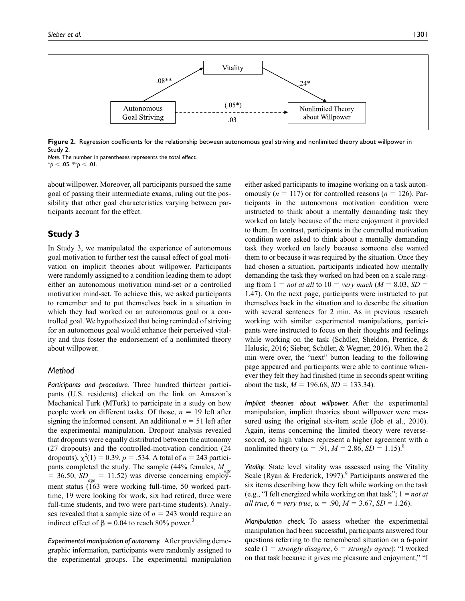

**Figure 2.** Regression coefficients for the relationship between autonomous goal striving and nonlimited theory about willpower in Study 2.

*Note.* The number in parentheses represents the total effect.  $*_{p}$  < .05.  $*_{p}$  < .01.

about willpower. Moreover, all participants pursued the same goal of passing their intermediate exams, ruling out the possibility that other goal characteristics varying between participants account for the effect.

## **Study 3**

In Study 3, we manipulated the experience of autonomous goal motivation to further test the causal effect of goal motivation on implicit theories about willpower. Participants were randomly assigned to a condition leading them to adopt either an autonomous motivation mind-set or a controlled motivation mind-set. To achieve this, we asked participants to remember and to put themselves back in a situation in which they had worked on an autonomous goal or a controlled goal. We hypothesized that being reminded of striving for an autonomous goal would enhance their perceived vitality and thus foster the endorsement of a nonlimited theory about willpower.

## *Method*

*Participants and procedure.* Three hundred thirteen participants (U.S. residents) clicked on the link on Amazon's Mechanical Turk (MTurk) to participate in a study on how people work on different tasks. Of those, *n* = 19 left after signing the informed consent. An additional  $n = 51$  left after the experimental manipulation. Dropout analysis revealed that dropouts were equally distributed between the autonomy (27 dropouts) and the controlled-motivation condition (24 dropouts),  $\chi^2(1) = 0.39, p = .534$ . A total of  $n = 243$  participants completed the study. The sample (44% females, *M<sub>age</sub>*  $= 36.50, SD<sub>age</sub> = 11.52$  was diverse concerning employment status (163 were working full-time, 50 worked parttime, 19 were looking for work, six had retired, three were full-time students, and two were part-time students). Analyses revealed that a sample size of  $n = 243$  would require an indirect effect of  $\beta$  = 0.04 to reach 80% power.<sup>3</sup>

*Experimental manipulation of autonomy.* After providing demographic information, participants were randomly assigned to the experimental groups. The experimental manipulation

either asked participants to imagine working on a task autonomously  $(n = 117)$  or for controlled reasons  $(n = 126)$ . Participants in the autonomous motivation condition were instructed to think about a mentally demanding task they worked on lately because of the mere enjoyment it provided to them. In contrast, participants in the controlled motivation condition were asked to think about a mentally demanding task they worked on lately because someone else wanted them to or because it was required by the situation. Once they had chosen a situation, participants indicated how mentally demanding the task they worked on had been on a scale ranging from  $1 = not$  *at all* to  $10 = very$  *much*  $(M = 8.03, SD =$ 1.47). On the next page, participants were instructed to put themselves back in the situation and to describe the situation with several sentences for 2 min. As in previous research working with similar experimental manipulations, participants were instructed to focus on their thoughts and feelings while working on the task (Schüler, Sheldon, Prentice, & Halusic, 2016; Sieber, Schüler, & Wegner, 2016). When the 2 min were over, the "next" button leading to the following page appeared and participants were able to continue whenever they felt they had finished (time in seconds spent writing about the task,  $M = 196.68$ ,  $SD = 133.34$ ).

*Implicit theories about willpower.* After the experimental manipulation, implicit theories about willpower were measured using the original six-item scale (Job et al., 2010). Again, items concerning the limited theory were reversescored, so high values represent a higher agreement with a nonlimited theory ( $\alpha$  = .91, *M* = 2.86, *SD* = 1.15).<sup>8</sup>

*Vitality.* State level vitality was assessed using the Vitality Scale (Ryan & Frederick, 1997).<sup>9</sup> Participants answered the six items describing how they felt while working on the task (e.g., "I felt energized while working on that task"; 1 *= not at all true*,  $6 = \text{very true}, \alpha = .90, M = 3.67, SD = 1.26$ .

*Manipulation check.* To assess whether the experimental manipulation had been successful, participants answered four questions referring to the remembered situation on a 6-point scale (1 = *strongly disagree*, 6 = *strongly agree*): "I worked on that task because it gives me pleasure and enjoyment," "I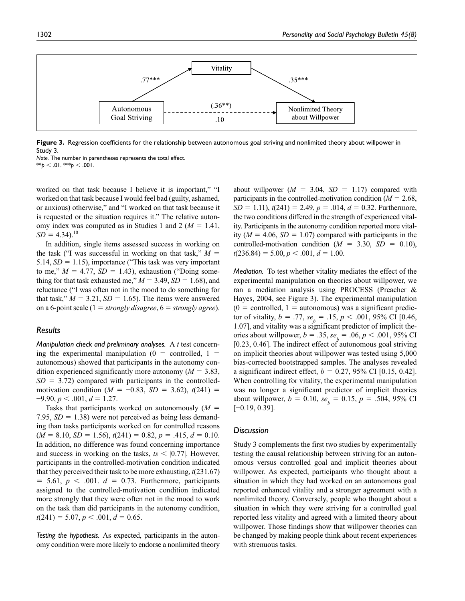

**Figure 3.** Regression coefficients for the relationship between autonomous goal striving and nonlimited theory about willpower in Study 3.

*Note.* The number in parentheses represents the total effect. \*\**p* < .01. \*\*\**p* < .001.

worked on that task because I believe it is important," "I worked on that task because I would feel bad (guilty, ashamed, or anxious) otherwise," and "I worked on that task because it is requested or the situation requires it." The relative autonomy index was computed as in Studies 1 and 2 (*M* = 1.41,  $SD = 4.34$ .<sup>10</sup>

In addition, single items assessed success in working on the task ("I was successful in working on that task,"  $M =$ 5.14, *SD* = 1.15), importance ("This task was very important to me,"  $M = 4.77$ ,  $SD = 1.43$ ), exhaustion ("Doing something for that task exhausted me,"  $M = 3.49$ ,  $SD = 1.68$ ), and reluctance ("I was often not in the mood to do something for that task,"  $M = 3.21$ ,  $SD = 1.65$ ). The items were answered on a 6-point scale (1 = *strongly disagree*, 6 = *strongly agree*).

#### *Results*

*Manipulation check and preliminary analyses.* A *t* test concerning the experimental manipulation ( $0 =$  controlled,  $1 =$ autonomous) showed that participants in the autonomy condition experienced significantly more autonomy ( $M = 3.83$ ,  $SD = 3.72$ ) compared with participants in the controlledmotivation condition ( $M = -0.83$ ,  $SD = 3.62$ ),  $t(241) =$ −9.90, *p* < .001, *d* = 1.27.

Tasks that participants worked on autonomously (*M* = 7.95,  $SD = 1.38$ ) were not perceived as being less demanding than tasks participants worked on for controlled reasons  $(M = 8.10, SD = 1.56), t(241) = 0.82, p = .415, d = 0.10.$ In addition, no difference was found concerning importance and success in working on the tasks,  $ts \leq 0.77$ . However, participants in the controlled-motivation condition indicated that they perceived their task to be more exhausting, *t*(231.67)  $= 5.61, p \lt 0.001, d = 0.73$ . Furthermore, participants assigned to the controlled-motivation condition indicated more strongly that they were often not in the mood to work on the task than did participants in the autonomy condition,  $t(241) = 5.07, p < .001, d = 0.65.$ 

*Testing the hypothesis.* As expected, participants in the autonomy condition were more likely to endorse a nonlimited theory

about willpower  $(M = 3.04, SD = 1.17)$  compared with participants in the controlled-motivation condition  $(M = 2.68$ ,  $SD = 1.11$ ,  $t(241) = 2.49$ ,  $p = .014$ ,  $d = 0.32$ . Furthermore, the two conditions differed in the strength of experienced vitality. Participants in the autonomy condition reported more vitality  $(M = 4.06, SD = 1.07)$  compared with participants in the controlled-motivation condition  $(M = 3.30, SD = 0.10)$ ,  $t(236.84) = 5.00, p < .001, d = 1.00.$ 

*Mediation.* To test whether vitality mediates the effect of the experimental manipulation on theories about willpower, we ran a mediation analysis using PROCESS (Preacher & Hayes, 2004, see Figure 3). The experimental manipulation  $(0 =$  controlled,  $1 =$  autonomous) was a significant predictor of vitality,  $b = .77$ ,  $se<sub>i</sub> = .15$ ,  $p < .001$ , 95% CI [0.46, 1.07], and vitality was a significant predictor of implicit theories about will power,  $b = .35$ ,  $se<sub>i</sub> = .06$ ,  $p < .001$ , 95% CI  $[0.23, 0.46]$ . The indirect effect of autonomous goal striving on implicit theories about willpower was tested using 5,000 bias-corrected bootstrapped samples. The analyses revealed a significant indirect effect,  $b = 0.27, 95\%$  CI [0.15, 0.42]. When controlling for vitality, the experimental manipulation was no longer a significant predictor of implicit theories about willpower,  $b = 0.10$ ,  $se<sub>b</sub> = 0.15$ ,  $p = .504$ , 95% CI [−0.19, 0.39].

## *Discussion*

Study 3 complements the first two studies by experimentally testing the causal relationship between striving for an autonomous versus controlled goal and implicit theories about willpower. As expected, participants who thought about a situation in which they had worked on an autonomous goal reported enhanced vitality and a stronger agreement with a nonlimited theory. Conversely, people who thought about a situation in which they were striving for a controlled goal reported less vitality and agreed with a limited theory about willpower. Those findings show that willpower theories can be changed by making people think about recent experiences with strenuous tasks.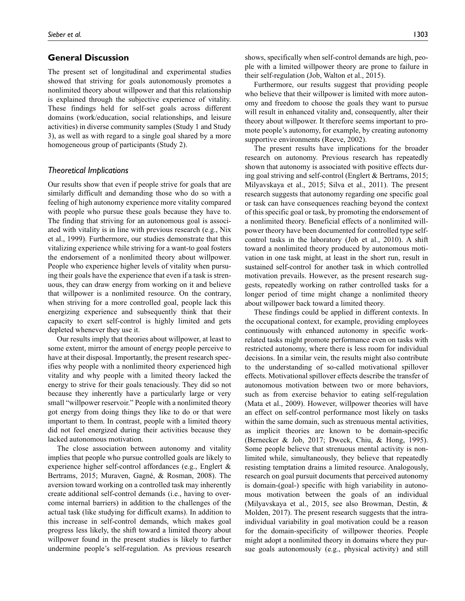## **General Discussion**

The present set of longitudinal and experimental studies showed that striving for goals autonomously promotes a nonlimited theory about willpower and that this relationship is explained through the subjective experience of vitality. These findings held for self-set goals across different domains (work/education, social relationships, and leisure activities) in diverse community samples (Study 1 and Study 3), as well as with regard to a single goal shared by a more homogeneous group of participants (Study 2).

## *Theoretical Implications*

Our results show that even if people strive for goals that are similarly difficult and demanding those who do so with a feeling of high autonomy experience more vitality compared with people who pursue these goals because they have to. The finding that striving for an autonomous goal is associated with vitality is in line with previous research (e.g., Nix et al., 1999). Furthermore, our studies demonstrate that this vitalizing experience while striving for a want-to goal fosters the endorsement of a nonlimited theory about willpower. People who experience higher levels of vitality when pursuing their goals have the experience that even if a task is strenuous, they can draw energy from working on it and believe that willpower is a nonlimited resource. On the contrary, when striving for a more controlled goal, people lack this energizing experience and subsequently think that their capacity to exert self-control is highly limited and gets depleted whenever they use it.

Our results imply that theories about willpower, at least to some extent, mirror the amount of energy people perceive to have at their disposal. Importantly, the present research specifies why people with a nonlimited theory experienced high vitality and why people with a limited theory lacked the energy to strive for their goals tenaciously. They did so not because they inherently have a particularly large or very small "willpower reservoir." People with a nonlimited theory got energy from doing things they like to do or that were important to them. In contrast, people with a limited theory did not feel energized during their activities because they lacked autonomous motivation.

The close association between autonomy and vitality implies that people who pursue controlled goals are likely to experience higher self-control affordances (e.g., Englert & Bertrams, 2015; Muraven, Gagné, & Rosman, 2008). The aversion toward working on a controlled task may inherently create additional self-control demands (i.e., having to overcome internal barriers) in addition to the challenges of the actual task (like studying for difficult exams). In addition to this increase in self-control demands, which makes goal progress less likely, the shift toward a limited theory about willpower found in the present studies is likely to further undermine people's self-regulation. As previous research shows, specifically when self-control demands are high, people with a limited willpower theory are prone to failure in their self-regulation (Job, Walton et al., 2015).

Furthermore, our results suggest that providing people who believe that their willpower is limited with more autonomy and freedom to choose the goals they want to pursue will result in enhanced vitality and, consequently, alter their theory about willpower. It therefore seems important to promote people's autonomy, for example, by creating autonomy supportive environments (Reeve, 2002).

The present results have implications for the broader research on autonomy. Previous research has repeatedly shown that autonomy is associated with positive effects during goal striving and self-control (Englert & Bertrams, 2015; Milyavskaya et al., 2015; Silva et al., 2011). The present research suggests that autonomy regarding one specific goal or task can have consequences reaching beyond the context of this specific goal or task, by promoting the endorsement of a nonlimited theory. Beneficial effects of a nonlimited willpower theory have been documented for controlled type selfcontrol tasks in the laboratory (Job et al., 2010). A shift toward a nonlimited theory produced by autonomous motivation in one task might, at least in the short run, result in sustained self-control for another task in which controlled motivation prevails. However, as the present research suggests, repeatedly working on rather controlled tasks for a longer period of time might change a nonlimited theory about willpower back toward a limited theory.

These findings could be applied in different contexts. In the occupational context, for example, providing employees continuously with enhanced autonomy in specific workrelated tasks might promote performance even on tasks with restricted autonomy, where there is less room for individual decisions. In a similar vein, the results might also contribute to the understanding of so-called motivational spillover effects. Motivational spillover effects describe the transfer of autonomous motivation between two or more behaviors, such as from exercise behavior to eating self-regulation (Mata et al., 2009). However, willpower theories will have an effect on self-control performance most likely on tasks within the same domain, such as strenuous mental activities, as implicit theories are known to be domain-specific (Bernecker & Job, 2017; Dweck, Chiu, & Hong, 1995). Some people believe that strenuous mental activity is nonlimited while, simultaneously, they believe that repeatedly resisting temptation drains a limited resource. Analogously, research on goal pursuit documents that perceived autonomy is domain-(goal-) specific with high variability in autonomous motivation between the goals of an individual (Milyavskaya et al., 2015, see also Browman, Destin, & Molden, 2017). The present research suggests that the intraindividual variability in goal motivation could be a reason for the domain-specificity of willpower theories. People might adopt a nonlimited theory in domains where they pursue goals autonomously (e.g., physical activity) and still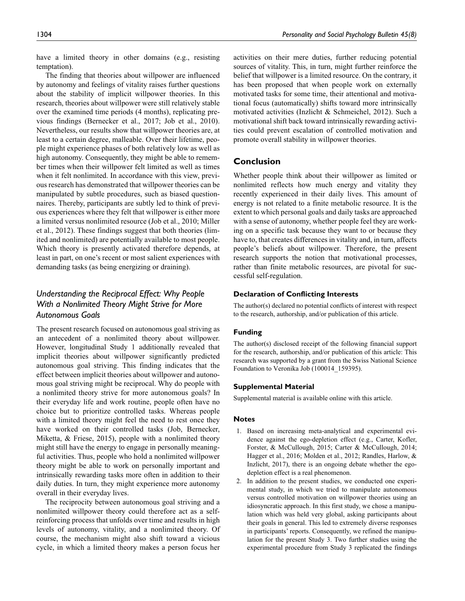have a limited theory in other domains (e.g., resisting temptation).

The finding that theories about willpower are influenced by autonomy and feelings of vitality raises further questions about the stability of implicit willpower theories. In this research, theories about willpower were still relatively stable over the examined time periods (4 months), replicating previous findings (Bernecker et al., 2017; Job et al., 2010). Nevertheless, our results show that willpower theories are, at least to a certain degree, malleable. Over their lifetime, people might experience phases of both relatively low as well as high autonomy. Consequently, they might be able to remember times when their willpower felt limited as well as times when it felt nonlimited. In accordance with this view, previous research has demonstrated that willpower theories can be manipulated by subtle procedures, such as biased questionnaires. Thereby, participants are subtly led to think of previous experiences where they felt that willpower is either more a limited versus nonlimited resource (Job et al., 2010; Miller et al., 2012). These findings suggest that both theories (limited and nonlimited) are potentially available to most people. Which theory is presently activated therefore depends, at least in part, on one's recent or most salient experiences with demanding tasks (as being energizing or draining).

## *Understanding the Reciprocal Effect: Why People With a Nonlimited Theory Might Strive for More Autonomous Goals*

The present research focused on autonomous goal striving as an antecedent of a nonlimited theory about willpower. However, longitudinal Study 1 additionally revealed that implicit theories about willpower significantly predicted autonomous goal striving. This finding indicates that the effect between implicit theories about willpower and autonomous goal striving might be reciprocal. Why do people with a nonlimited theory strive for more autonomous goals? In their everyday life and work routine, people often have no choice but to prioritize controlled tasks. Whereas people with a limited theory might feel the need to rest once they have worked on their controlled tasks (Job, Bernecker, Miketta, & Friese, 2015), people with a nonlimited theory might still have the energy to engage in personally meaningful activities. Thus, people who hold a nonlimited willpower theory might be able to work on personally important and intrinsically rewarding tasks more often in addition to their daily duties. In turn, they might experience more autonomy overall in their everyday lives.

The reciprocity between autonomous goal striving and a nonlimited willpower theory could therefore act as a selfreinforcing process that unfolds over time and results in high levels of autonomy, vitality, and a nonlimited theory. Of course, the mechanism might also shift toward a vicious cycle, in which a limited theory makes a person focus her

activities on their mere duties, further reducing potential sources of vitality. This, in turn, might further reinforce the belief that willpower is a limited resource. On the contrary, it has been proposed that when people work on externally motivated tasks for some time, their attentional and motivational focus (automatically) shifts toward more intrinsically motivated activities (Inzlicht & Schmeichel, 2012). Such a motivational shift back toward intrinsically rewarding activities could prevent escalation of controlled motivation and promote overall stability in willpower theories.

## **Conclusion**

Whether people think about their willpower as limited or nonlimited reflects how much energy and vitality they recently experienced in their daily lives. This amount of energy is not related to a finite metabolic resource. It is the extent to which personal goals and daily tasks are approached with a sense of autonomy, whether people feel they are working on a specific task because they want to or because they have to, that creates differences in vitality and, in turn, affects people's beliefs about willpower. Therefore, the present research supports the notion that motivational processes, rather than finite metabolic resources, are pivotal for successful self-regulation.

#### **Declaration of Conflicting Interests**

The author(s) declared no potential conflicts of interest with respect to the research, authorship, and/or publication of this article.

#### **Funding**

The author(s) disclosed receipt of the following financial support for the research, authorship, and/or publication of this article: This research was supported by a grant from the Swiss National Science Foundation to Veronika Job (100014\_159395).

## **Supplemental Material**

Supplemental material is available online with this article.

#### **Notes**

- 1. Based on increasing meta-analytical and experimental evidence against the ego-depletion effect (e.g., Carter, Kofler, Forster, & McCullough, 2015; Carter & McCullough, 2014; Hagger et al., 2016; Molden et al., 2012; Randles, Harlow, & Inzlicht, 2017), there is an ongoing debate whether the egodepletion effect is a real phenomenon.
- 2. In addition to the present studies, we conducted one experimental study, in which we tried to manipulate autonomous versus controlled motivation on willpower theories using an idiosyncratic approach. In this first study, we chose a manipulation which was held very global, asking participants about their goals in general. This led to extremely diverse responses in participants' reports. Consequently, we refined the manipulation for the present Study 3. Two further studies using the experimental procedure from Study 3 replicated the findings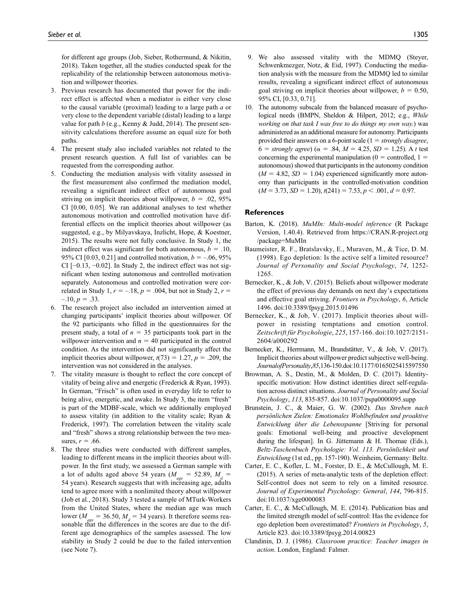for different age groups (Job, Sieber, Rothermund, & Nikitin, 2018). Taken together, all the studies conducted speak for the replicability of the relationship between autonomous motivation and willpower theories.

- 3. Previous research has documented that power for the indirect effect is affected when a mediator is either very close to the causal variable (proximal) leading to a large path *a* or very close to the dependent variable (distal) leading to a large value for path *b* (e.g., Kenny & Judd, 2014). The present sensitivity calculations therefore assume an equal size for both paths.
- 4. The present study also included variables not related to the present research question. A full list of variables can be requested from the corresponding author.
- 5. Conducting the mediation analysis with vitality assessed in the first measurement also confirmed the mediation model, revealing a significant indirect effect of autonomous goal striving on implicit theories about willpower,  $b = .02, 95\%$ CI [0.00, 0.05]. We ran additional analyses to test whether autonomous motivation and controlled motivation have differential effects on the implicit theories about willpower (as suggested, e.g., by Milyavskaya, Inzlicht, Hope, & Koestner, 2015). The results were not fully conclusive. In Study 1, the indirect effect was significant for both autonomous,  $b = .10$ , 95% CI  $[0.03, 0.21]$  and controlled motivation,  $b = -0.06, 95\%$ CI [−0.13, −0.02]. In Study 2, the indirect effect was not significant when testing autonomous and controlled motivation separately. Autonomous and controlled motivation were correlated in Study 1,  $r = -.18$ ,  $p = .004$ , but not in Study 2,  $r =$  $-.10, p = .33.$
- 6. The research project also included an intervention aimed at changing participants' implicit theories about willpower. Of the 92 participants who filled in the questionnaires for the present study, a total of  $n = 35$  participants took part in the willpower intervention and  $n = 40$  participated in the control condition. As the intervention did not significantly affect the implicit theories about willpower,  $t(73) = 1.27$ ,  $p = .209$ , the intervention was not considered in the analyses.
- 7. The vitality measure is thought to reflect the core concept of vitality of being alive and energetic (Frederick & Ryan, 1993). In German, "Frisch" is often used in everyday life to refer to being alive, energetic, and awake. In Study 3, the item "fresh" is part of the MDBF-scale, which we additionally employed to assess vitality (in addition to the vitality scale; Ryan & Frederick, 1997). The correlation between the vitality scale and "fresh" shows a strong relationship between the two measures,  $r = .66$ .
- 8. The three studies were conducted with different samples, leading to different means in the implicit theories about willpower. In the first study, we assessed a German sample with a lot of adults aged above 54 years ( $M_{gas}$  = 52.89,  $M_{A}$  = 54 years). Research suggests that with increasing age, adults tend to agree more with a nonlimited theory about willpower (Job et al., 2018). Study 3 tested a sample of MTurk-Workers from the United States, where the median age was much lower ( $M_{\text{gas}}$  = 36.50,  $M_{\text{d}}$  = 34 years). It therefore seems reasonable that the differences in the scores are due to the different age demographics of the samples assessed. The low stability in Study 2 could be due to the failed intervention (see Note 7).
- 9. We also assessed vitality with the MDMQ (Steyer, Schwenkmezger, Notz, & Eid, 1997). Conducting the mediation analysis with the measure from the MDMQ led to similar results, revealing a significant indirect effect of autonomous goal striving on implicit theories about willpower,  $b = 0.50$ , 95% CI, [0.33, 0.71].
- 10. The autonomy subscale from the balanced measure of psychological needs (BMPN, Sheldon & Hilpert, 2012; e.g., *While working on that task I was free to do things my own way.*) was administered as an additional measure for autonomy. Participants provided their answers on a 6-point scale (1 = *strongly disagree*, 6 = *strongly agree*) (α = .84, *M* = 4.25, *SD* = 1.25). A *t* test concerning the experimental manipulation ( $0 =$  controlled,  $1 =$ autonomous) showed that participants in the autonomy condition  $(M = 4.82, SD = 1.04)$  experienced significantly more autonomy than participants in the controlled-motivation condition  $(M = 3.73, SD = 1.20), t(241) = 7.53, p < .001, d = 0.97.$

#### **References**

- Barton, K. (2018). *MuMIn: Multi-model inference* (R Package Version, 1.40.4). Retrieved from [https://CRAN.R-project.org](https://CRAN.R-project.org/package=MuMIn) [/package=MuMIn](https://CRAN.R-project.org/package=MuMIn)
- Baumeister, R. F., Bratslavsky, E., Muraven, M., & Tice, D. M. (1998). Ego depletion: Is the active self a limited resource? *Journal of Personality and Social Psychology*, *74*, 1252- 1265.
- Bernecker, K., & Job, V. (2015). Beliefs about willpower moderate the effect of previous day demands on next day's expectations and effective goal striving. *Frontiers in Psychology*, *6*, Article 1496. doi:10.3389/fpsyg.2015.01496
- Bernecker, K., & Job, V. (2017). Implicit theories about willpower in resisting temptations and emotion control. *Zeitschrift für Psychologie*, *225*, 157-166. doi:10.1027/2151- 2604/a000292
- Bernecker, K., Herrmann, M., Brandstätter, V., & Job, V. (2017). Implicit theories about willpower predict subjective well-being. *Journal of Personality*, *85*, 136-150. doi:10.1177/0165025415597550
- Browman, A. S., Destin, M., & Molden, D. C. (2017). Identityspecific motivation: How distinct identities direct self-regulation across distinct situations. *Journal of Personality and Social Psychology*, *113*, 835-857. doi:10.1037/pspa0000095.supp
- Brunstein, J. C., & Maier, G. W. (2002). *Das Streben nach persönlichen Zielen: Emotionales Wohlbefinden und proaktive Entwicklung über die Lebensspanne* [Striving for personal goals: Emotional well-being and proactive development during the lifespan]. In G. Jüttemann & H. Thomae (Eds.), *Beltz-Taschenbuch Psychologie: Vol. 113. Persönlichkeit und Entwicklung* (1st ed., pp. 157-190). Weinheim, Germany: Beltz.
- Carter, E. C., Kofler, L. M., Forster, D. E., & McCullough, M. E. (2015). A series of meta-analytic tests of the depletion effect: Self-control does not seem to rely on a limited resource. *Journal of Experimental Psychology: General*, *144*, 796-815. doi:10.1037/xge0000083
- Carter, E. C., & McCullough, M. E. (2014). Publication bias and the limited strength model of self-control: Has the evidence for ego depletion been overestimated? *Frontiers in Psychology*, *5*, Article 823. doi:10.3389/fpsyg.2014.00823
- Clandinin, D. J. (1986). *Classroom practice: Teacher images in action*. London, England: Falmer.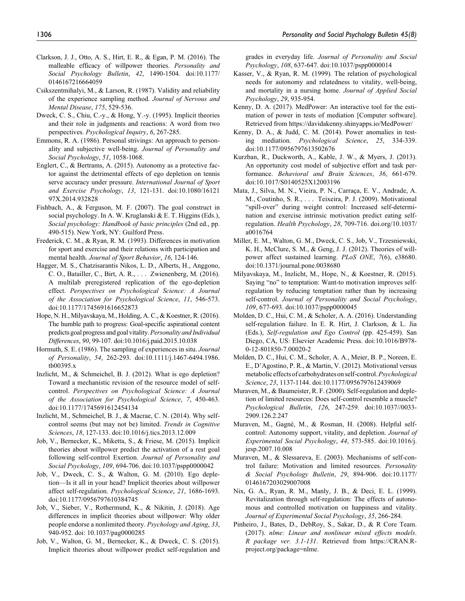- Clarkson, J. J., Otto, A. S., Hirt, E. R., & Egan, P. M. (2016). The malleable efficacy of willpower theories. *Personality and Social Psychology Bulletin*, *42*, 1490-1504. doi:10.1177/ 0146167216664059
- Csikszentmihalyi, M., & Larson, R. (1987). Validity and reliability of the experience sampling method. *Journal of Nervous and Mental Disease*, *175*, 529-536.
- Dweck, C. S., Chiu, C.-y., & Hong, Y.-y. (1995). Implicit theories and their role in judgments and reactions: A word from two perspectives. *Psychological Inquiry*, *6*, 267-285.
- Emmons, R. A. (1986). Personal strivings: An approach to personality and subjective well-being. *Journal of Personality and Social Psychology*, *51*, 1058-1068.
- Englert, C., & Bertrams, A. (2015). Autonomy as a protective factor against the detrimental effects of ego depletion on tennis serve accuracy under pressure. *International Journal of Sport and Exercise Psychology*, *13*, 121-131. doi:10.1080/16121 97X.2014.932828
- Fishbach, A., & Ferguson, M. F. (2007). The goal construct in social psychology. In A. W. Kruglanski & E. T. Higgins (Eds.), *Social psychology: Handbook of basic principles* (2nd ed., pp. 490-515). New York, NY: Guilford Press.
- Frederick, C. M., & Ryan, R. M. (1993). Differences in motivation for sport and exercise and their relations with participation and mental health. *Journal of Sport Behavior*, *16*, 124-146.
- Hagger, M. S., Chatzisarantis Nikos, L. D., Alberts, H., Anggono, C. O., Batailler, C., Birt, A. R., . . . Zwienenberg, M. (2016). A multilab preregistered replication of the ego-depletion effect. *Perspectives on Psychological Science: A Journal of the Association for Psychological Science*, *11*, 546-573. doi:10.1177/1745691616652873
- Hope, N. H., Milyavskaya, M., Holding, A. C., & Koestner, R. (2016). The humble path to progress: Goal-specific aspirational content predicts goal progress and goal vitality. *Personality and Individual Differences*, *90*, 99-107. doi:10.1016/j.paid.2015.10.038
- Hormuth, S. E. (1986). The sampling of experiences in situ. *Journal of Personality*, *54*, 262-293. doi:10.1111/j.1467-6494.1986. tb00395.x
- Inzlicht, M., & Schmeichel, B. J. (2012). What is ego depletion? Toward a mechanistic revision of the resource model of selfcontrol. *Perspectives on Psychological Science: A Journal of the Association for Psychological Science*, *7*, 450-463. doi:10.1177/1745691612454134
- Inzlicht, M., Schmeichel, B. J., & Macrae, C. N. (2014). Why selfcontrol seems (but may not be) limited. *Trends in Cognitive Sciences*, *18*, 127-133. doi:10.1016/j.tics.2013.12.009
- Job, V., Bernecker, K., Miketta, S., & Friese, M. (2015). Implicit theories about willpower predict the activation of a rest goal following self-control Exertion. *Journal of Personality and Social Psychology*, *109*, 694-706. doi:10.1037/pspp0000042
- Job, V., Dweck, C. S., & Walton, G. M. (2010). Ego depletion—Is it all in your head? Implicit theories about willpower affect self-regulation. *Psychological Science*, *21*, 1686-1693. doi:10.1177/0956797610384745
- Job, V., Sieber, V., Rothermund, K., & Nikitin, J. (2018). Age differences in implicit theories about willpower: Why older people endorse a nonlimited theory. *Psychology and Aging*, *33*, 940-952. doi: 10.1037/pag0000285
- Job, V., Walton, G. M., Bernecker, K., & Dweck, C. S. (2015). Implicit theories about willpower predict self-regulation and

grades in everyday life. *Journal of Personality and Social Psychology*, *108*, 637-647. doi:10.1037/pspp0000014

- Kasser, V., & Ryan, R. M. (1999). The relation of psychological needs for autonomy and relatedness to vitality, well-being, and mortality in a nursing home. *Journal of Applied Social Psychology*, *29*, 935-954.
- Kenny, D. A. (2017). MedPower: An interactive tool for the estimation of power in tests of mediation [Computer software]. Retrieved from<https://davidakenny.shinyapps.io/MedPower/>
- Kenny, D. A., & Judd, C. M. (2014). Power anomalies in testing mediation. *Psychological Science*, *25*, 334-339. doi:10.1177/0956797613502676
- Kurzban, R., Duckworth, A., Kable, J. W., & Myers, J. (2013). An opportunity cost model of subjective effort and task performance. *Behavioral and Brain Sciences*, *36*, 661-679. doi:10.1017/S0140525X12003196
- Mata, J., Silva, M. N., Vieira, P. N., Carraça, E. V., Andrade, A. M., Coutinho, S. R., . . . Teixeira, P. J. (2009). Motivational "spill-over" during weight control: Increased self-determination and exercise intrinsic motivation predict eating selfregulation. *Health Psychology*, *28*, 709-716. doi.org/10.1037/ a0016764
- Miller, E. M., Walton, G. M., Dweck, C. S., Job, V., Trzesniewski, K. H., McClure, S. M., & Geng, J. J. (2012). Theories of willpower affect sustained learning. *PLoS ONE*, *7*(6), e38680. doi:10.1371/journal.pone.0038680
- Milyavskaya, M., Inzlicht, M., Hope, N., & Koestner, R. (2015). Saying "no" to temptation: Want-to motivation improves selfregulation by reducing temptation rather than by increasing self-control. *Journal of Personality and Social Psychology*, *109*, 677-693. doi:10.1037/pspp0000045
- Molden, D. C., Hui, C. M., & Scholer, A. A. (2016). Understanding self-regulation failure. In E. R. Hirt, J. Clarkson, & L. Jia (Eds.), *Self-regulation and Ego Control* (pp. 425-459). San Diego, CA, US: Elsevier Academic Press. doi:10.1016/B978- 0-12-801850-7.00020-2
- Molden, D. C., Hui, C. M., Scholer, A. A., Meier, B. P., Noreen, E. E., D'Agostino, P. R., & Martin, V. (2012). Motivational versus metabolic effects of carbohydrates on self-control. *Psychological Science*, *23*, 1137-1144. doi:10.1177/0956797612439069
- Muraven, M., & Baumeister, R. F. (2000). Self-regulation and depletion of limited resources: Does self-control resemble a muscle? *Psychological Bulletin*, *126*, 247-259. doi:10.1037//0033- 2909.126.2.247
- Muraven, M., Gagné, M., & Rosman, H. (2008). Helpful selfcontrol: Autonomy support, vitality, and depletion. *Journal of Experimental Social Psychology*, *44*, 573-585. doi:10.1016/j. jesp.2007.10.008
- Muraven, M., & Slessareva, E. (2003). Mechanisms of self-control failure: Motivation and limited resources. *Personality & Social Psychology Bulletin*, *29*, 894-906. doi:10.1177/ 0146167203029007008
- Nix, G. A., Ryan, R. M., Manly, J. B., & Deci, E. L. (1999). Revitalization through self-regulation: The effects of autonomous and controlled motivation on happiness and vitality. *Journal of Experimental Social Psychology*, *35*, 266-284.
- Pinheiro, J., Bates, D., DebRoy, S., Sakar, D., & R Core Team. (2017). *nlme: Linear and nonlinear mixed effects models*. *R package ver. 3.1-131*. Retrieved from [https://CRAN.R](https://CRAN.R-project.org/package=nlme)[project.org/package=nlme.](https://CRAN.R-project.org/package=nlme)